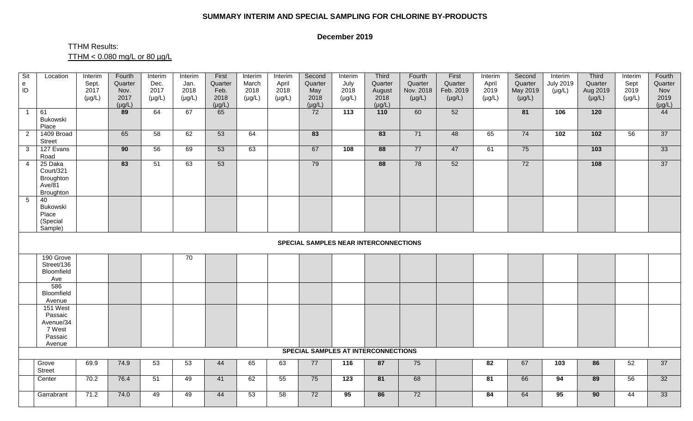## **SUMMARY INTERIM AND SPECIAL SAMPLING FOR CHLORINE BY-PRODUCTS**

## **December 2019**

## TTHM Results: TTHM < 0.080 mg/L or 80 µg/L

| Sit<br>$\mathbf{e}$<br>ID | Location                                                        | Interim<br>Sept.<br>2017<br>$(\mu g/L)$ | Fourth<br>Quarter<br>Nov.<br>2017<br>$(\mu g/L)$ | Interim<br>Dec.<br>2017<br>$(\mu g/L)$ | Interim<br>Jan.<br>2018<br>$(\mu g/L)$ | First<br>Quarter<br>Feb.<br>2018<br>$(\mu g/L)$ | Interim<br>March<br>2018<br>$(\mu g/L)$ | Interim<br>April<br>2018<br>$(\mu g/L)$ | Second<br>Quarter<br>May<br>2018<br>$(\mu g/L)$ | Interim<br>July<br>2018<br>$(\mu g/L)$ | Third<br>Quarter<br>August<br>2018<br>$(\mu g/L)$ | Fourth<br>Quarter<br>Nov. 2018<br>$(\mu g/L)$ | First<br>Quarter<br>Feb. 2019<br>$(\mu g/L)$ | Interim<br>April<br>2019<br>$(\mu g/L)$ | Second<br>Quarter<br>May 2019<br>$(\mu g/L)$ | Interim<br><b>July 2019</b><br>$(\mu g/L)$ | Third<br>Quarter<br>Aug 2019<br>$(\mu g/L)$ | Interim<br>Sept<br>2019<br>$(\mu g/L)$ | Fourth<br>Quarter<br>Nov<br>2019<br>$(\mu g/L)$ |
|---------------------------|-----------------------------------------------------------------|-----------------------------------------|--------------------------------------------------|----------------------------------------|----------------------------------------|-------------------------------------------------|-----------------------------------------|-----------------------------------------|-------------------------------------------------|----------------------------------------|---------------------------------------------------|-----------------------------------------------|----------------------------------------------|-----------------------------------------|----------------------------------------------|--------------------------------------------|---------------------------------------------|----------------------------------------|-------------------------------------------------|
| $\overline{1}$            | 61<br>Bukowski<br>Place                                         |                                         | 89                                               | 64                                     | 67                                     | 65                                              |                                         |                                         | 72                                              | $\overline{113}$                       | 110                                               | 60                                            | 52                                           |                                         | 81                                           | 106                                        | 120                                         |                                        | 44                                              |
| $\overline{2}$            | 1409 Broad<br><b>Street</b>                                     |                                         | 65                                               | 58                                     | 62                                     | 53                                              | 64                                      |                                         | 83                                              |                                        | 83                                                | 71                                            | 48                                           | 65                                      | 74                                           | 102                                        | 102                                         | 56                                     | 37                                              |
| $\overline{3}$            | 127 Evans<br>Road                                               |                                         | 90                                               | 56                                     | 69                                     | 53                                              | 63                                      |                                         | 67                                              | 108                                    | 88                                                | 77                                            | 47                                           | 61                                      | 75                                           |                                            | $\overline{103}$                            |                                        | 33                                              |
| $\overline{4}$            | 25 Daka<br>Court/321<br>Broughton<br>Ave/81<br>Broughton        |                                         | 83                                               | 51                                     | 63                                     | 53                                              |                                         |                                         | 79                                              |                                        | 88                                                | 78                                            | 52                                           |                                         | 72                                           |                                            | $\frac{108}{ }$                             |                                        | 37                                              |
| $5\overline{)}$           | 40<br>Bukowski<br>Place<br>(Special<br>Sample)                  |                                         |                                                  |                                        |                                        |                                                 |                                         |                                         |                                                 |                                        |                                                   |                                               |                                              |                                         |                                              |                                            |                                             |                                        |                                                 |
|                           | SPECIAL SAMPLES NEAR INTERCONNECTIONS                           |                                         |                                                  |                                        |                                        |                                                 |                                         |                                         |                                                 |                                        |                                                   |                                               |                                              |                                         |                                              |                                            |                                             |                                        |                                                 |
|                           | 190 Grove<br>Street/136<br>Bloomfield<br>Ave                    |                                         |                                                  |                                        | 70                                     |                                                 |                                         |                                         |                                                 |                                        |                                                   |                                               |                                              |                                         |                                              |                                            |                                             |                                        |                                                 |
|                           | 586<br>Bloomfield<br>Avenue                                     |                                         |                                                  |                                        |                                        |                                                 |                                         |                                         |                                                 |                                        |                                                   |                                               |                                              |                                         |                                              |                                            |                                             |                                        |                                                 |
|                           | 151 West<br>Passaic<br>Avenue/34<br>7 West<br>Passaic<br>Avenue |                                         |                                                  |                                        |                                        |                                                 |                                         |                                         |                                                 |                                        |                                                   |                                               |                                              |                                         |                                              |                                            |                                             |                                        |                                                 |
|                           |                                                                 |                                         |                                                  |                                        |                                        |                                                 |                                         |                                         |                                                 |                                        | <b>SPECIAL SAMPLES AT INTERCONNECTIONS</b>        |                                               |                                              |                                         |                                              |                                            |                                             |                                        |                                                 |
|                           | Grove<br><b>Street</b>                                          | 69.9                                    | 74.9                                             | 53                                     | 53                                     | 44                                              | 65                                      | 63                                      | 77                                              | 116                                    | 87                                                | 75                                            |                                              | 82                                      | 67                                           | $\overline{103}$                           | 86                                          | 52                                     | 37                                              |
|                           | Center                                                          | 70.2                                    | 76.4                                             | 51                                     | 49                                     | 41                                              | 62                                      | 55                                      | 75                                              | 123                                    | 81                                                | 68                                            |                                              | 81                                      | 66                                           | 94                                         | 89                                          | 56                                     | 32                                              |
|                           | Garrabrant                                                      | 71.2                                    | 74.0                                             | 49                                     | 49                                     | 44                                              | 53                                      | 58                                      | 72                                              | 95                                     | 86                                                | 72                                            |                                              | 84                                      | 64                                           | 95                                         | $\overline{90}$                             | 44                                     | 33                                              |